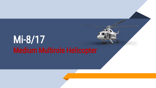# Mi-8/17 Medium Multirole Helicopter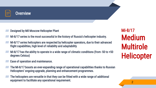

- Designed by Mil Moscow Helicopter Plant
- Mi-8/17 series is the most successful in the history of Russia's helicopter industry.
- Mi-8/17 series helicopters are respected by helicopter operators, due to their advanced flight capabilities, high level of reliability and adaptability
- $Mi-8/17$  has the ability to operate in a wide range of climatic conditions (from -50 to +50 degrees Celsius)
- Ease of operation and maintenance.
- ▰ The Mi-8/17 boasts an ever-expanding range of operational capabilities thanks to Russian Helicopters' ongoing upgrade, planning and enhancement programmes.
- The helicopters are versatile in that they can be fitted with a wide range of additional equipment to facilitate any operational requirement.

Mi-8/17 Medium Multirole **Helicopter** 

2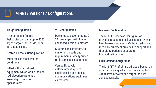

# Mi-8/17 Versions / Configurations

## Cargo Configuration

The Cargo configured helicopter can carry op to 4000 kg of cargo either inside, or on an outside sling.

### Search & Rescue Configuratrion

Multi-task, in most weather conditions.

Fitted with specialised equipment which would include radiolocation systems , searchlights, winches, speakers etc. 3

## VIP Configuration

Designed to accommodate 7- 14 passengers with the most enhanced levels of comfort.

Customisable interiors, to customers' needs and requirements. Ideally suited for luxury-class equipment.

Can be fitted with entertainment systems, satellite links and special communications equipment as required.

#### Medevac Configuration

The Mi-8/17 Medevac Configuration provides robust medical assistance, even in hard to reach locations. On-board advanced medical equipment provide life support and first aid to patients onboard to hospitalization point.

## Fire Fighting Configuration

The Mi-8/17 Firefighting utilizes a bucket on an external sling, which can deliver up to 4,000 litres of water and target the burn zone accurately.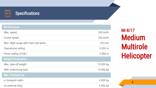

# **Specifications**

| <b>Performance</b>                     |           |
|----------------------------------------|-----------|
| Max. speed                             | 250 km/h  |
| <b>Cruise speed</b>                    | 230 km/h  |
| Max. flight range with main fuel tanks | 610 km    |
| <b>Operational ceiling</b>             | 6,000 m   |
| Hover ceiling (OGE)                    | 3,980 m   |
| <b>Weight Parameters</b>               |           |
| Max. take-off weight                   | 13,000 kg |
| With underslung load                   | 13,000 kg |
| Max. Payload, kg                       |           |
| in transport cabin                     | 4,000 kg  |
| on external sling                      | 4,000 kg  |

Mi -8/17 Medium Multirole **Helicopter** 

4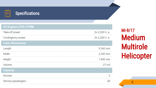

# **Specifications**

#### **GT Engines (TV3-117VM)**

| Take-off power          | 2x 2,200 h. p.   |
|-------------------------|------------------|
| Contingency power       | 2x 2,200 h. p.   |
| <b>Cabin Dimensions</b> |                  |
| Length                  | 5,340 mm         |
| Width                   | 2,340 mm         |
| Height                  | 1,800 mm         |
| Volume                  | 27 <sub>m3</sub> |
| <b>Capacity:</b>        |                  |
| <b>Aircrew</b>          | 3                |
| Service passengers      | 26               |

Mi -8/17 Medium Multirole **Helicopter** 

5